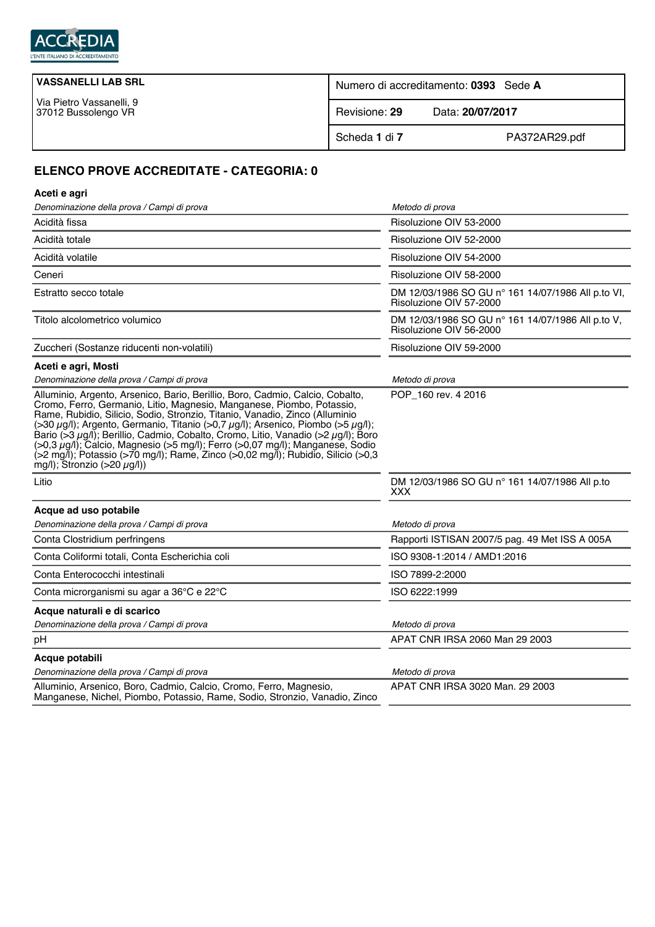

| <b>VASSANELLI LAB SRL</b>                       | Numero di accreditamento: 0393 Sede A |                  |
|-------------------------------------------------|---------------------------------------|------------------|
| Via Pietro Vassanelli, 9<br>37012 Bussolengo VR | Revisione: 29                         | Data: 20/07/2017 |
|                                                 | Scheda 1 di 7                         | PA372AR29.pdf    |

## **ELENCO PROVE ACCREDITATE - CATEGORIA: 0**

| Aceti e agri                                                                                                                                                                                                                                                                                                                                                                                                                                                                                                                                                                                                                                              |                                                                               |  |  |
|-----------------------------------------------------------------------------------------------------------------------------------------------------------------------------------------------------------------------------------------------------------------------------------------------------------------------------------------------------------------------------------------------------------------------------------------------------------------------------------------------------------------------------------------------------------------------------------------------------------------------------------------------------------|-------------------------------------------------------------------------------|--|--|
| Denominazione della prova / Campi di prova                                                                                                                                                                                                                                                                                                                                                                                                                                                                                                                                                                                                                | Metodo di prova                                                               |  |  |
| Acidità fissa                                                                                                                                                                                                                                                                                                                                                                                                                                                                                                                                                                                                                                             | Risoluzione OIV 53-2000                                                       |  |  |
| Acidità totale                                                                                                                                                                                                                                                                                                                                                                                                                                                                                                                                                                                                                                            | Risoluzione OIV 52-2000                                                       |  |  |
| Acidità volatile                                                                                                                                                                                                                                                                                                                                                                                                                                                                                                                                                                                                                                          | Risoluzione OIV 54-2000                                                       |  |  |
| Ceneri                                                                                                                                                                                                                                                                                                                                                                                                                                                                                                                                                                                                                                                    | Risoluzione OIV 58-2000                                                       |  |  |
| Estratto secco totale                                                                                                                                                                                                                                                                                                                                                                                                                                                                                                                                                                                                                                     | DM 12/03/1986 SO GU n° 161 14/07/1986 All p.to VI,<br>Risoluzione OIV 57-2000 |  |  |
| Titolo alcolometrico volumico                                                                                                                                                                                                                                                                                                                                                                                                                                                                                                                                                                                                                             | DM 12/03/1986 SO GU n° 161 14/07/1986 All p.to V,<br>Risoluzione OIV 56-2000  |  |  |
| Zuccheri (Sostanze riducenti non-volatili)                                                                                                                                                                                                                                                                                                                                                                                                                                                                                                                                                                                                                | Risoluzione OIV 59-2000                                                       |  |  |
| Aceti e agri, Mosti                                                                                                                                                                                                                                                                                                                                                                                                                                                                                                                                                                                                                                       |                                                                               |  |  |
| Denominazione della prova / Campi di prova                                                                                                                                                                                                                                                                                                                                                                                                                                                                                                                                                                                                                | Metodo di prova                                                               |  |  |
| Alluminio, Argento, Arsenico, Bario, Berillio, Boro, Cadmio, Calcio, Cobalto,<br>Cromo, Ferro, Germanio, Litio, Magnesio, Manganese, Piombo, Potassio,<br>Rame, Rubidio, Silicio, Sodio, Stronzio, Titanio, Vanadio, Zinco (Alluminio<br>(>30 $\mu$ g/l); Argento, Germanio, Titanio (>0,7 $\mu$ g/l); Arsenico, Piombo (>5 $\mu$ g/l);<br>Bario (>3 $\mu$ g/l); Berillio, Cadmio, Cobalto, Cromo, Litio, Vanadio (>2 $\mu$ g/l); Boro<br>$(0.3 \mu g/l)$ ; Calcio, Magnesio ( $>5$ mg/l); Ferro ( $0.07$ mg/l); Manganese, Sodio<br>(>2 mg/l); Potassio (>70 mg/l); Rame, Zinco (>0,02 mg/l); Rubidio, Silicio (>0,3<br>mg/l); Stronzio (>20 $\mu$ g/l)) | POP_160 rev. 4 2016                                                           |  |  |
| Litio                                                                                                                                                                                                                                                                                                                                                                                                                                                                                                                                                                                                                                                     | DM 12/03/1986 SO GU n° 161 14/07/1986 All p.to<br><b>XXX</b>                  |  |  |
| Acque ad uso potabile                                                                                                                                                                                                                                                                                                                                                                                                                                                                                                                                                                                                                                     |                                                                               |  |  |
| Denominazione della prova / Campi di prova                                                                                                                                                                                                                                                                                                                                                                                                                                                                                                                                                                                                                | Metodo di prova                                                               |  |  |
| Conta Clostridium perfringens                                                                                                                                                                                                                                                                                                                                                                                                                                                                                                                                                                                                                             | Rapporti ISTISAN 2007/5 pag. 49 Met ISS A 005A                                |  |  |
| Conta Coliformi totali, Conta Escherichia coli                                                                                                                                                                                                                                                                                                                                                                                                                                                                                                                                                                                                            | ISO 9308-1:2014 / AMD1:2016                                                   |  |  |
| Conta Enterococchi intestinali                                                                                                                                                                                                                                                                                                                                                                                                                                                                                                                                                                                                                            | ISO 7899-2:2000                                                               |  |  |
| Conta microrganismi su agar a 36°C e 22°C                                                                                                                                                                                                                                                                                                                                                                                                                                                                                                                                                                                                                 | ISO 6222:1999                                                                 |  |  |
| Acque naturali e di scarico                                                                                                                                                                                                                                                                                                                                                                                                                                                                                                                                                                                                                               |                                                                               |  |  |
| Denominazione della prova / Campi di prova                                                                                                                                                                                                                                                                                                                                                                                                                                                                                                                                                                                                                | Metodo di prova                                                               |  |  |
| рH                                                                                                                                                                                                                                                                                                                                                                                                                                                                                                                                                                                                                                                        | APAT CNR IRSA 2060 Man 29 2003                                                |  |  |
| Acque potabili                                                                                                                                                                                                                                                                                                                                                                                                                                                                                                                                                                                                                                            |                                                                               |  |  |
| Denominazione della prova / Campi di prova                                                                                                                                                                                                                                                                                                                                                                                                                                                                                                                                                                                                                | Metodo di prova                                                               |  |  |
| Alluminio, Arsenico, Boro, Cadmio, Calcio, Cromo, Ferro, Magnesio,<br>Manganese, Nichel, Piombo, Potassio, Rame, Sodio, Stronzio, Vanadio, Zinco                                                                                                                                                                                                                                                                                                                                                                                                                                                                                                          | APAT CNR IRSA 3020 Man. 29 2003                                               |  |  |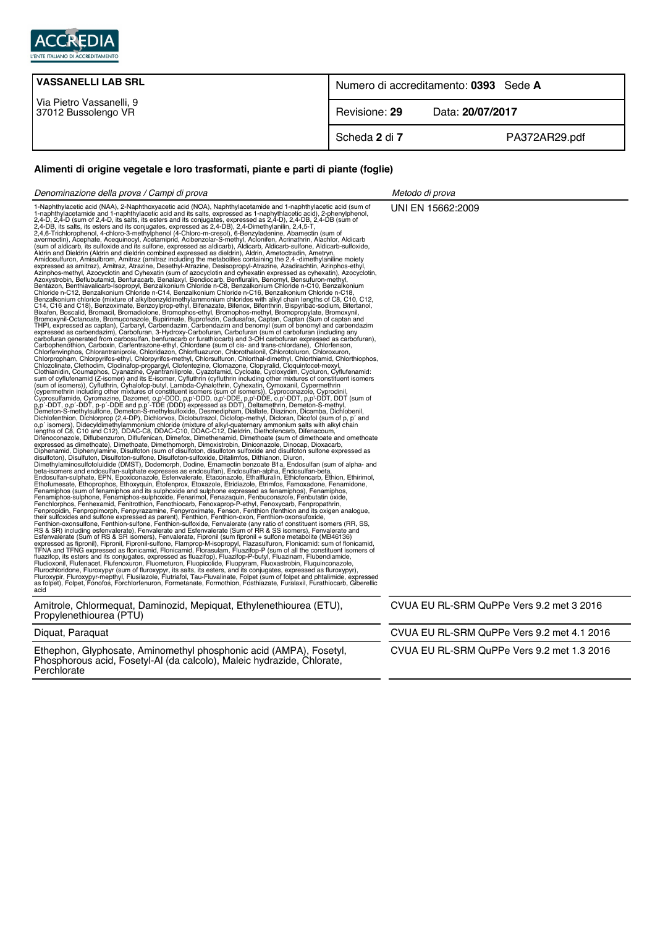

| <b>VASSANELLI LAB SRL</b>                       | Numero di accreditamento: 0393 Sede A |                  |
|-------------------------------------------------|---------------------------------------|------------------|
| Via Pietro Vassanelli, 9<br>37012 Bussolengo VR | Revisione: 29                         | Data: 20/07/2017 |
|                                                 | Scheda 2 di 7                         | PA372AR29.pdf    |

## **Alimenti di origine vegetale e loro trasformati, piante e parti di piante (foglie)**

| Denominazione della prova / Campi di prova                                                                                                                                                                                                                                                                                                                                                                                                                                                                                                                                                                                                                                                                                                                                                                                                | Metodo di prova                            |
|-------------------------------------------------------------------------------------------------------------------------------------------------------------------------------------------------------------------------------------------------------------------------------------------------------------------------------------------------------------------------------------------------------------------------------------------------------------------------------------------------------------------------------------------------------------------------------------------------------------------------------------------------------------------------------------------------------------------------------------------------------------------------------------------------------------------------------------------|--------------------------------------------|
| 1-Naphthylacetic acid (NAA), 2-Naphthoxyacetic acid (NOA), Naphthylacetamide and 1-naphthylacetic acid (sum of<br>1-naphthylacetamide and 1-naphthylacetic acid and its salts, expressed as 1-naphythlacetic acid), 2-phenylphenol,<br>T-Naphrinylanesis asid (MAA), 2-Naphribosyonetis asid (NQA), Naphrinylanesismide and transitiviyasetis asid (sum of 1.4-1), 2-Naphridosyonetis asid (Sum) 2-Naphridosyonetis asid (sum of 2-4-D), 2-Naphridosyonetis asid (su<br>their sulfoxides and sulfone expressed as parent), Fenthion, Fenthion-conson, Fenthion-consultone, Fenthion-sulfone, Fenthion-sulfone, Fenthion-sulfone, Fenthion-sulfone, Fenthion-sulfone, Fenvalerate (sum of RR & SS issom<br>as folpet), Folpet, Fonofos, Forchlorfenuron, Formetanate, Formothion, Fosthiazate, Furalaxil, Furathiocarb, Giberellic<br>acid | UNI EN 15662:2009                          |
| Amitrole, Chlormequat, Daminozid, Mepiquat, Ethylenethiourea (ETU),<br>Propylenethiourea (PTU)                                                                                                                                                                                                                                                                                                                                                                                                                                                                                                                                                                                                                                                                                                                                            | CVUA EU RL-SRM QuPPe Vers 9.2 met 3 2016   |
| Diquat, Paraquat                                                                                                                                                                                                                                                                                                                                                                                                                                                                                                                                                                                                                                                                                                                                                                                                                          | CVUA EU RL-SRM QuPPe Vers 9.2 met 4.1 2016 |
|                                                                                                                                                                                                                                                                                                                                                                                                                                                                                                                                                                                                                                                                                                                                                                                                                                           | $\sim$                                     |

Ethephon, Glyphosate, Aminomethyl phosphonic acid (AMPA), Fosetyl, Phosphorous acid, Fosetyl-Al (da calcolo), Maleic hydrazide, Chlorate, **Perchlorate** 

CVUA EU RL-SRM QuPPe Vers 9.2 met 1.3 2016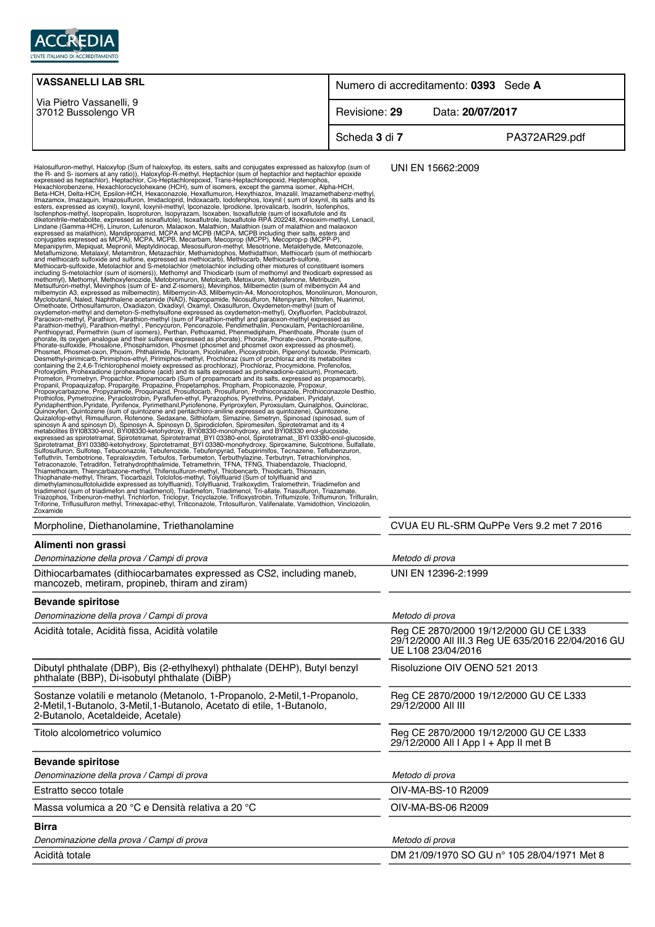

| <b>VASSANELLI LAB SRL</b>                                                                                                                                                                                                                                                                                                                                                                                                                                                                                                                                                                                                                                                                                                                                                                                                                                                                                                                                                                                                                                                                                                                                                                                                                                                                                                                                                                                                                                     | Numero di accreditamento: 0393 Sede A |                                                                                 |  |
|---------------------------------------------------------------------------------------------------------------------------------------------------------------------------------------------------------------------------------------------------------------------------------------------------------------------------------------------------------------------------------------------------------------------------------------------------------------------------------------------------------------------------------------------------------------------------------------------------------------------------------------------------------------------------------------------------------------------------------------------------------------------------------------------------------------------------------------------------------------------------------------------------------------------------------------------------------------------------------------------------------------------------------------------------------------------------------------------------------------------------------------------------------------------------------------------------------------------------------------------------------------------------------------------------------------------------------------------------------------------------------------------------------------------------------------------------------------|---------------------------------------|---------------------------------------------------------------------------------|--|
| Via Pietro Vassanelli, 9<br>37012 Bussolengo VR                                                                                                                                                                                                                                                                                                                                                                                                                                                                                                                                                                                                                                                                                                                                                                                                                                                                                                                                                                                                                                                                                                                                                                                                                                                                                                                                                                                                               | Revisione: 29                         | Data: 20/07/2017                                                                |  |
|                                                                                                                                                                                                                                                                                                                                                                                                                                                                                                                                                                                                                                                                                                                                                                                                                                                                                                                                                                                                                                                                                                                                                                                                                                                                                                                                                                                                                                                               | Scheda 3 di 7                         | PA372AR29.pdf                                                                   |  |
| Halosulfuron-methyl, Haloxyfop (Sum of haloxyfop, its esters, salts and conjugates expressed as haloxyfop (sum of<br>the R- and S- isomers at any ratio), Haloxyfop-R-methyl, Heptachlor (sum of heptachlor epoxide<br>expressed as<br>diketonitrile-metabolite, expressed as isoxaflutole), Isoxaflutoile, isoxaflutoile HPA 202248, Kresoxim-metriyi, Lendone Camma-HCH), Linuron, Lufenuron, Malaoxon, Malathion, Malathion (sum of malathion and malaoxon express<br>Methodam-suitoxide, Metolachior and S-metolachior (metolachior including other mixtures or constituent isomersic<br>including S-metolachior (sum of isomers)), Methomyl and Thiodicarb (sum of methomyl and thiodicarb expressed<br>oxydemetro-methyl, Parathion-methyl sulton expressed as oxydemeton-methyl, Oxylluorten, Paciobutrazol,<br>Paranxon-methyl, Parathion-methyl, Parathion-methyl (sum of Parathion-methyl and paraoxon-methyl expressed as<br>Parathion<br>Desintery-pinnincato, Friminging-Hurup, The Thingy Similary, Prochinal Similar Calini Diplomation and the season and its salts expressed as probable and its salts. Prochinal Proformation Proformation (proparation Proformat<br>Triazophos, Tribenuron-methyl, Trichlorfon, Triclopyr, Tricyclazole, Trifloxystrobin, Triflumizole, Triflumuron, Trifluralin,<br>Triforine, Triflusulfuron methyl, Trinexapac-ethyl, Triticonazole, Tritosulfuron, Valifenalate, Vamidothion, Vinclozolin,<br>Zoxamide |                                       | UNI EN 15662:2009                                                               |  |
| Morpholine, Diethanolamine, Triethanolamine                                                                                                                                                                                                                                                                                                                                                                                                                                                                                                                                                                                                                                                                                                                                                                                                                                                                                                                                                                                                                                                                                                                                                                                                                                                                                                                                                                                                                   |                                       | CVUA EU RL-SRM QuPPe Vers 9.2 met 7 2016                                        |  |
| Alimenti non grassi<br>Denominazione della prova / Campi di prova                                                                                                                                                                                                                                                                                                                                                                                                                                                                                                                                                                                                                                                                                                                                                                                                                                                                                                                                                                                                                                                                                                                                                                                                                                                                                                                                                                                             |                                       | Metodo di prova                                                                 |  |
| Dithiocarbamates (dithiocarbamates expressed as CS2, including maneb,                                                                                                                                                                                                                                                                                                                                                                                                                                                                                                                                                                                                                                                                                                                                                                                                                                                                                                                                                                                                                                                                                                                                                                                                                                                                                                                                                                                         |                                       | UNI EN 12396-2:1999                                                             |  |
| mancozeb, metiram, propineb, thiram and ziram)                                                                                                                                                                                                                                                                                                                                                                                                                                                                                                                                                                                                                                                                                                                                                                                                                                                                                                                                                                                                                                                                                                                                                                                                                                                                                                                                                                                                                |                                       |                                                                                 |  |
| <b>Bevande spiritose</b>                                                                                                                                                                                                                                                                                                                                                                                                                                                                                                                                                                                                                                                                                                                                                                                                                                                                                                                                                                                                                                                                                                                                                                                                                                                                                                                                                                                                                                      |                                       |                                                                                 |  |
| Denominazione della prova / Campi di prova<br>Acidità totale, Acidità fissa, Acidità volatile                                                                                                                                                                                                                                                                                                                                                                                                                                                                                                                                                                                                                                                                                                                                                                                                                                                                                                                                                                                                                                                                                                                                                                                                                                                                                                                                                                 |                                       | Metodo di prova<br>Reg CE 2870/2000 19/12/2000 GU CE L333                       |  |
|                                                                                                                                                                                                                                                                                                                                                                                                                                                                                                                                                                                                                                                                                                                                                                                                                                                                                                                                                                                                                                                                                                                                                                                                                                                                                                                                                                                                                                                               |                                       | 29/12/2000 All III.3 Reg UE 635/2016 22/04/2016 GU<br>UE L108 23/04/2016        |  |
| Dibutyl phthalate (DBP), Bis (2-ethylhexyl) phthalate (DEHP), Butyl benzyl<br>phthalate (BBP), Di-isobutyl phthalate (DiBP)                                                                                                                                                                                                                                                                                                                                                                                                                                                                                                                                                                                                                                                                                                                                                                                                                                                                                                                                                                                                                                                                                                                                                                                                                                                                                                                                   |                                       | Risoluzione OIV OENO 521 2013                                                   |  |
| Sostanze volatili e metanolo (Metanolo, 1-Propanolo, 2-Metil, 1-Propanolo,<br>2-Metil, 1-Butanolo, 3-Metil, 1-Butanolo, Acetato di etile, 1-Butanolo,<br>2-Butanolo, Acetaldeide, Acetale)                                                                                                                                                                                                                                                                                                                                                                                                                                                                                                                                                                                                                                                                                                                                                                                                                                                                                                                                                                                                                                                                                                                                                                                                                                                                    |                                       | Reg CE 2870/2000 19/12/2000 GU CE L333<br>29/12/2000 All III                    |  |
| Titolo alcolometrico volumico                                                                                                                                                                                                                                                                                                                                                                                                                                                                                                                                                                                                                                                                                                                                                                                                                                                                                                                                                                                                                                                                                                                                                                                                                                                                                                                                                                                                                                 |                                       | Reg CE 2870/2000 19/12/2000 GU CE L333<br>29/12/2000 All I App I + App II met B |  |
| <b>Bevande spiritose</b>                                                                                                                                                                                                                                                                                                                                                                                                                                                                                                                                                                                                                                                                                                                                                                                                                                                                                                                                                                                                                                                                                                                                                                                                                                                                                                                                                                                                                                      |                                       |                                                                                 |  |
| Denominazione della prova / Campi di prova                                                                                                                                                                                                                                                                                                                                                                                                                                                                                                                                                                                                                                                                                                                                                                                                                                                                                                                                                                                                                                                                                                                                                                                                                                                                                                                                                                                                                    |                                       | Metodo di prova                                                                 |  |
| Estratto secco totale                                                                                                                                                                                                                                                                                                                                                                                                                                                                                                                                                                                                                                                                                                                                                                                                                                                                                                                                                                                                                                                                                                                                                                                                                                                                                                                                                                                                                                         |                                       | OIV-MA-BS-10 R2009                                                              |  |
| Massa volumica a 20 °C e Densità relativa a 20 °C                                                                                                                                                                                                                                                                                                                                                                                                                                                                                                                                                                                                                                                                                                                                                                                                                                                                                                                                                                                                                                                                                                                                                                                                                                                                                                                                                                                                             |                                       | OIV-MA-BS-06 R2009                                                              |  |
| <b>Birra</b>                                                                                                                                                                                                                                                                                                                                                                                                                                                                                                                                                                                                                                                                                                                                                                                                                                                                                                                                                                                                                                                                                                                                                                                                                                                                                                                                                                                                                                                  |                                       |                                                                                 |  |
| Denominazione della prova / Campi di prova                                                                                                                                                                                                                                                                                                                                                                                                                                                                                                                                                                                                                                                                                                                                                                                                                                                                                                                                                                                                                                                                                                                                                                                                                                                                                                                                                                                                                    |                                       | Metodo di prova                                                                 |  |
| Acidità totale                                                                                                                                                                                                                                                                                                                                                                                                                                                                                                                                                                                                                                                                                                                                                                                                                                                                                                                                                                                                                                                                                                                                                                                                                                                                                                                                                                                                                                                |                                       | DM 21/09/1970 SO GU n° 105 28/04/1971 Met 8                                     |  |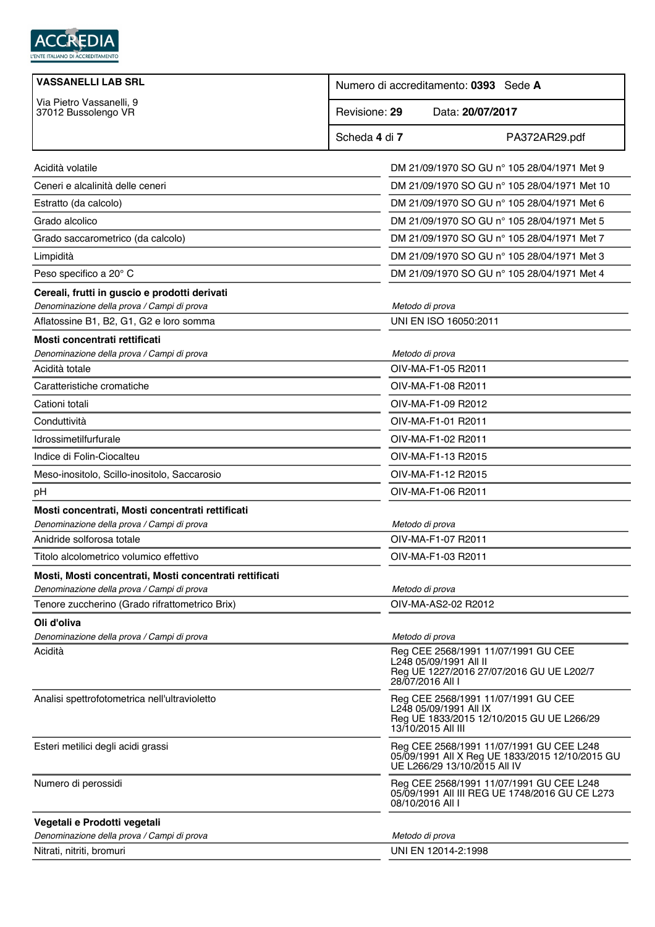

| <b>VASSANELLI LAB SRL</b>                                                                             | Numero di accreditamento: 0393 Sede A                                                                                            |  |  |
|-------------------------------------------------------------------------------------------------------|----------------------------------------------------------------------------------------------------------------------------------|--|--|
| Via Pietro Vassanelli, 9<br>37012 Bussolengo VR                                                       | Data: 20/07/2017<br>Revisione: 29                                                                                                |  |  |
|                                                                                                       | Scheda 4 di 7<br>PA372AR29.pdf                                                                                                   |  |  |
| Acidità volatile                                                                                      | DM 21/09/1970 SO GU n° 105 28/04/1971 Met 9                                                                                      |  |  |
| Ceneri e alcalinità delle ceneri                                                                      | DM 21/09/1970 SO GU nº 105 28/04/1971 Met 10                                                                                     |  |  |
| Estratto (da calcolo)                                                                                 | DM 21/09/1970 SO GU n° 105 28/04/1971 Met 6                                                                                      |  |  |
| Grado alcolico                                                                                        | DM 21/09/1970 SO GU nº 105 28/04/1971 Met 5                                                                                      |  |  |
| Grado saccarometrico (da calcolo)                                                                     | DM 21/09/1970 SO GU nº 105 28/04/1971 Met 7                                                                                      |  |  |
| Limpidità                                                                                             | DM 21/09/1970 SO GU n° 105 28/04/1971 Met 3                                                                                      |  |  |
| Peso specifico a 20° C                                                                                | DM 21/09/1970 SO GU nº 105 28/04/1971 Met 4                                                                                      |  |  |
| Cereali, frutti in guscio e prodotti derivati<br>Denominazione della prova / Campi di prova           | Metodo di prova                                                                                                                  |  |  |
| Aflatossine B1, B2, G1, G2 e loro somma                                                               | UNI EN ISO 16050:2011                                                                                                            |  |  |
| Mosti concentrati rettificati                                                                         |                                                                                                                                  |  |  |
| Denominazione della prova / Campi di prova                                                            | Metodo di prova                                                                                                                  |  |  |
| Acidità totale                                                                                        | OIV-MA-F1-05 R2011                                                                                                               |  |  |
| Caratteristiche cromatiche                                                                            | OIV-MA-F1-08 R2011                                                                                                               |  |  |
| Cationi totali                                                                                        | OIV-MA-F1-09 R2012                                                                                                               |  |  |
| Conduttività                                                                                          | OIV-MA-F1-01 R2011                                                                                                               |  |  |
| Idrossimetilfurfurale                                                                                 | OIV-MA-F1-02 R2011                                                                                                               |  |  |
| Indice di Folin-Ciocalteu                                                                             | OIV-MA-F1-13 R2015                                                                                                               |  |  |
| Meso-inositolo, Scillo-inositolo, Saccarosio                                                          | OIV-MA-F1-12 R2015                                                                                                               |  |  |
| pH                                                                                                    | OIV-MA-F1-06 R2011                                                                                                               |  |  |
| Mosti concentrati, Mosti concentrati rettificati                                                      |                                                                                                                                  |  |  |
| Denominazione della prova / Campi di prova<br>Anidride solforosa totale                               | Metodo di prova<br>OIV-MA-F1-07 R2011                                                                                            |  |  |
| Titolo alcolometrico volumico effettivo                                                               |                                                                                                                                  |  |  |
|                                                                                                       | OIV-MA-F1-03 R2011                                                                                                               |  |  |
| Mosti, Mosti concentrati, Mosti concentrati rettificati<br>Denominazione della prova / Campi di prova | Metodo di prova                                                                                                                  |  |  |
| Tenore zuccherino (Grado rifrattometrico Brix)                                                        | OIV-MA-AS2-02 R2012                                                                                                              |  |  |
| Oli d'oliva                                                                                           |                                                                                                                                  |  |  |
| Denominazione della prova / Campi di prova                                                            | Metodo di prova                                                                                                                  |  |  |
| Acidità                                                                                               | Reg CEE 2568/1991 11/07/1991 GU CEE<br>L248 05/09/1991 All II<br>Reg UE 1227/2016 27/07/2016 GU UE L202/7<br>28/07/2016 All I    |  |  |
| Analisi spettrofotometrica nell'ultravioletto                                                         | Reg CEE 2568/1991 11/07/1991 GU CEE<br>L248 05/09/1991 All IX<br>Reg UE 1833/2015 12/10/2015 GU UE L266/29<br>13/10/2015 All III |  |  |
| Esteri metilici degli acidi grassi                                                                    | Reg CEE 2568/1991 11/07/1991 GU CEE L248<br>05/09/1991 All X Reg UE 1833/2015 12/10/2015 GU<br>UE L266/29 13/10/2015 All IV      |  |  |
| Numero di perossidi                                                                                   | Reg CEE 2568/1991 11/07/1991 GU CEE L248<br>05/09/1991 All III REG UE 1748/2016 GU CE L273<br>08/10/2016 All I                   |  |  |
| Vegetali e Prodotti vegetali                                                                          |                                                                                                                                  |  |  |
| Denominazione della prova / Campi di prova                                                            | Metodo di prova                                                                                                                  |  |  |
| Nitrati, nitriti, bromuri                                                                             | UNI EN 12014-2:1998                                                                                                              |  |  |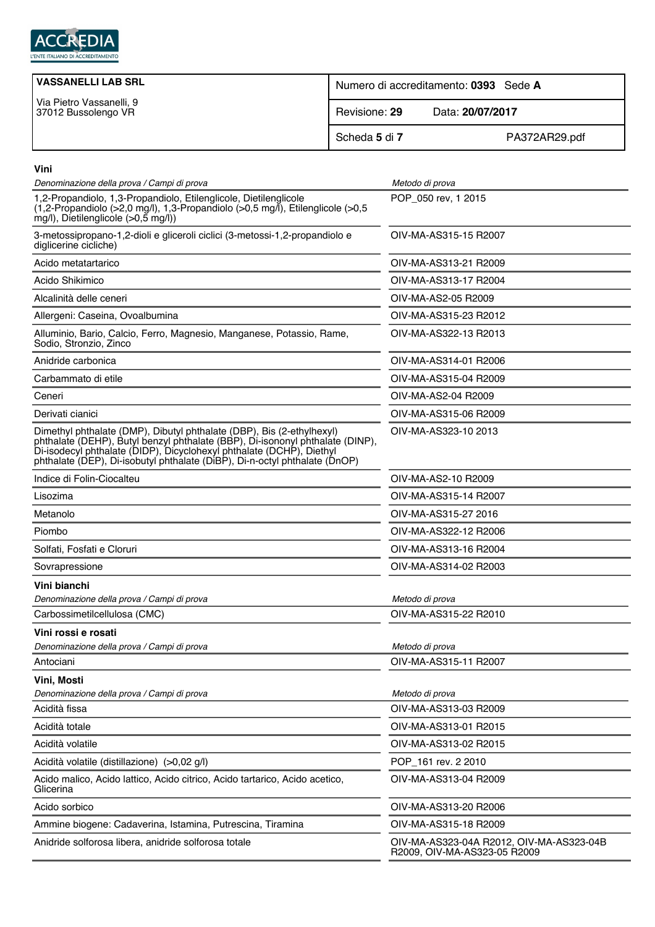

| <b>VASSANELLI LAB SRL</b>                       | Numero di accreditamento: 0393 Sede A |                  |  |
|-------------------------------------------------|---------------------------------------|------------------|--|
| Via Pietro Vassanelli, 9<br>37012 Bussolengo VR | Revisione: 29                         | Data: 20/07/2017 |  |
|                                                 | Scheda 5 di 7                         | PA372AR29.pdf    |  |

| Vini                                                                                                                                                                                                                                                                                                         |                                                                          |
|--------------------------------------------------------------------------------------------------------------------------------------------------------------------------------------------------------------------------------------------------------------------------------------------------------------|--------------------------------------------------------------------------|
| Denominazione della prova / Campi di prova                                                                                                                                                                                                                                                                   | Metodo di prova                                                          |
| 1,2-Propandiolo, 1,3-Propandiolo, Etilenglicole, Dietilenglicole<br>$(1,2$ -Propandiolo (>2,0 mg/l), 1,3-Propandiolo (>0,5 mg/l), Etilenglicole (>0,5<br>$mg/l$ ), Dietilenglicole (>0,5 mg/l))                                                                                                              | POP_050 rev, 1 2015                                                      |
| 3-metossipropano-1,2-dioli e gliceroli ciclici (3-metossi-1,2-propandiolo e<br>diglicerine cicliche)                                                                                                                                                                                                         | OIV-MA-AS315-15 R2007                                                    |
| Acido metatartarico                                                                                                                                                                                                                                                                                          | OIV-MA-AS313-21 R2009                                                    |
| Acido Shikimico                                                                                                                                                                                                                                                                                              | OIV-MA-AS313-17 R2004                                                    |
| Alcalinità delle ceneri                                                                                                                                                                                                                                                                                      | OIV-MA-AS2-05 R2009                                                      |
| Allergeni: Caseina, Ovoalbumina                                                                                                                                                                                                                                                                              | OIV-MA-AS315-23 R2012                                                    |
| Alluminio, Bario, Calcio, Ferro, Magnesio, Manganese, Potassio, Rame,<br>Sodio, Stronzio, Zinco                                                                                                                                                                                                              | OIV-MA-AS322-13 R2013                                                    |
| Anidride carbonica                                                                                                                                                                                                                                                                                           | OIV-MA-AS314-01 R2006                                                    |
| Carbammato di etile                                                                                                                                                                                                                                                                                          | OIV-MA-AS315-04 R2009                                                    |
| Ceneri                                                                                                                                                                                                                                                                                                       | OIV-MA-AS2-04 R2009                                                      |
| Derivati cianici                                                                                                                                                                                                                                                                                             | OIV-MA-AS315-06 R2009                                                    |
| Dimethyl phthalate (DMP), Dibutyl phthalate (DBP), Bis (2-ethylhexyl)<br>phthalate (DEHP), Butyl benzyl phthalate (BBP), Di-isononyl phthalate (DINP),<br>Di-isodecyl phthalate (DIDP), Dicyclohexyl phthalate (DCHP), Diethyl<br>phthalate (DEP), Di-isobutyl phthalate (DiBP), Di-n-octyl phthalate (DnOP) | OIV-MA-AS323-10 2013                                                     |
| Indice di Folin-Ciocalteu                                                                                                                                                                                                                                                                                    | OIV-MA-AS2-10 R2009                                                      |
| Lisozima                                                                                                                                                                                                                                                                                                     | OIV-MA-AS315-14 R2007                                                    |
| Metanolo                                                                                                                                                                                                                                                                                                     | OIV-MA-AS315-27 2016                                                     |
| Piombo                                                                                                                                                                                                                                                                                                       | OIV-MA-AS322-12 R2006                                                    |
| Solfati, Fosfati e Cloruri                                                                                                                                                                                                                                                                                   | OIV-MA-AS313-16 R2004                                                    |
| Sovrapressione                                                                                                                                                                                                                                                                                               | OIV-MA-AS314-02 R2003                                                    |
| Vini bianchi                                                                                                                                                                                                                                                                                                 |                                                                          |
| Denominazione della prova / Campi di prova                                                                                                                                                                                                                                                                   | Metodo di prova                                                          |
| Carbossimetilcellulosa (CMC)                                                                                                                                                                                                                                                                                 | OIV-MA-AS315-22 R2010                                                    |
| Vini rossi e rosati                                                                                                                                                                                                                                                                                          |                                                                          |
| Denominazione della prova / Campi di prova                                                                                                                                                                                                                                                                   | Metodo di prova                                                          |
| Antociani                                                                                                                                                                                                                                                                                                    | OIV-MA-AS315-11 R2007                                                    |
| Vini, Mosti<br>Denominazione della prova / Campi di prova                                                                                                                                                                                                                                                    | Metodo di prova                                                          |
| Acidità fissa                                                                                                                                                                                                                                                                                                | OIV-MA-AS313-03 R2009                                                    |
| Acidità totale                                                                                                                                                                                                                                                                                               | OIV-MA-AS313-01 R2015                                                    |
| Acidità volatile                                                                                                                                                                                                                                                                                             | OIV-MA-AS313-02 R2015                                                    |
| Acidità volatile (distillazione) (>0,02 g/l)                                                                                                                                                                                                                                                                 | POP_161 rev. 2 2010                                                      |
| Acido malico, Acido lattico, Acido citrico, Acido tartarico, Acido acetico,                                                                                                                                                                                                                                  | OIV-MA-AS313-04 R2009                                                    |
| Glicerina                                                                                                                                                                                                                                                                                                    |                                                                          |
| Acido sorbico                                                                                                                                                                                                                                                                                                | OIV-MA-AS313-20 R2006                                                    |
| Ammine biogene: Cadaverina, Istamina, Putrescina, Tiramina                                                                                                                                                                                                                                                   | OIV-MA-AS315-18 R2009                                                    |
| Anidride solforosa libera, anidride solforosa totale                                                                                                                                                                                                                                                         | OIV-MA-AS323-04A R2012, OIV-MA-AS323-04B<br>R2009, OIV-MA-AS323-05 R2009 |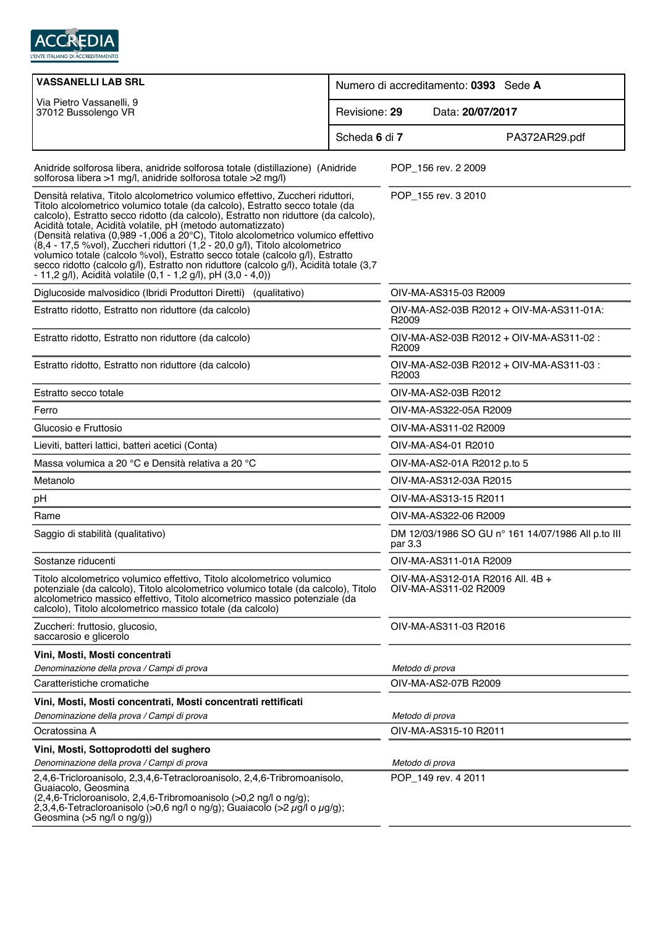

| <b>VASSANELLI LAB SRL</b>                                                                                                                                                                                                                                                                                                                                                                                                                                                                                                                                                                                                                                                                                                              | Numero di accreditamento: 0393 Sede A |                                                               |               |
|----------------------------------------------------------------------------------------------------------------------------------------------------------------------------------------------------------------------------------------------------------------------------------------------------------------------------------------------------------------------------------------------------------------------------------------------------------------------------------------------------------------------------------------------------------------------------------------------------------------------------------------------------------------------------------------------------------------------------------------|---------------------------------------|---------------------------------------------------------------|---------------|
| Via Pietro Vassanelli, 9<br>37012 Bussolengo VR                                                                                                                                                                                                                                                                                                                                                                                                                                                                                                                                                                                                                                                                                        | Revisione: 29<br>Data: 20/07/2017     |                                                               |               |
|                                                                                                                                                                                                                                                                                                                                                                                                                                                                                                                                                                                                                                                                                                                                        | Scheda 6 di 7                         |                                                               | PA372AR29.pdf |
| Anidride solforosa libera, anidride solforosa totale (distillazione) (Anidride<br>solforosa libera >1 mg/l, anidride solforosa totale >2 mg/l)                                                                                                                                                                                                                                                                                                                                                                                                                                                                                                                                                                                         |                                       | POP_156 rev. 2 2009                                           |               |
| Densità relativa, Titolo alcolometrico volumico effettivo, Zuccheri riduttori,<br>Titolo alcolometrico volumico totale (da calcolo), Estratto secco totale (da<br>calcolo), Estratto secco ridotto (da calcolo), Estratto non riduttore (da calcolo),<br>Acidità totale, Acidità volatile, pH (metodo automatizzato)<br>(Densità relativa (0,989 -1,006 a 20°C), Titolo alcolometrico volumico effettivo<br>(8,4 - 17,5 % vol), Zuccheri riduttori (1,2 - 20,0 g/l), Titolo alcolometrico<br>volumico totale (calcolo %vol), Estratto secco totale (calcolo g/l), Estratto<br>secco ridotto (calcolo g/l), Estratto non riduttore (calcolo g/l), Acidità totale (3,7<br>- 11,2 g/l), Acidità volatile (0,1 - 1,2 g/l), pH (3,0 - 4,0)) |                                       | POP_155 rev. 3 2010                                           |               |
| Diglucoside malvosidico (Ibridi Produttori Diretti) (qualitativo)                                                                                                                                                                                                                                                                                                                                                                                                                                                                                                                                                                                                                                                                      |                                       | OIV-MA-AS315-03 R2009                                         |               |
| Estratto ridotto, Estratto non riduttore (da calcolo)                                                                                                                                                                                                                                                                                                                                                                                                                                                                                                                                                                                                                                                                                  |                                       | OIV-MA-AS2-03B R2012 + OIV-MA-AS311-01A:<br>R <sub>2009</sub> |               |
| Estratto ridotto, Estratto non riduttore (da calcolo)                                                                                                                                                                                                                                                                                                                                                                                                                                                                                                                                                                                                                                                                                  |                                       | OIV-MA-AS2-03B R2012 + OIV-MA-AS311-02 :<br>R2009             |               |
| Estratto ridotto, Estratto non riduttore (da calcolo)                                                                                                                                                                                                                                                                                                                                                                                                                                                                                                                                                                                                                                                                                  |                                       | OIV-MA-AS2-03B R2012 + OIV-MA-AS311-03 :<br>R2003             |               |
| Estratto secco totale                                                                                                                                                                                                                                                                                                                                                                                                                                                                                                                                                                                                                                                                                                                  |                                       | OIV-MA-AS2-03B R2012                                          |               |
| Ferro                                                                                                                                                                                                                                                                                                                                                                                                                                                                                                                                                                                                                                                                                                                                  |                                       | OIV-MA-AS322-05A R2009                                        |               |
| Glucosio e Fruttosio                                                                                                                                                                                                                                                                                                                                                                                                                                                                                                                                                                                                                                                                                                                   |                                       | OIV-MA-AS311-02 R2009                                         |               |
| Lieviti, batteri lattici, batteri acetici (Conta)                                                                                                                                                                                                                                                                                                                                                                                                                                                                                                                                                                                                                                                                                      |                                       | OIV-MA-AS4-01 R2010                                           |               |
| Massa volumica a 20 °C e Densità relativa a 20 °C                                                                                                                                                                                                                                                                                                                                                                                                                                                                                                                                                                                                                                                                                      |                                       | OIV-MA-AS2-01A R2012 p.to 5                                   |               |
| Metanolo                                                                                                                                                                                                                                                                                                                                                                                                                                                                                                                                                                                                                                                                                                                               |                                       | OIV-MA-AS312-03A R2015                                        |               |
| pH                                                                                                                                                                                                                                                                                                                                                                                                                                                                                                                                                                                                                                                                                                                                     |                                       | OIV-MA-AS313-15 R2011                                         |               |
| Rame                                                                                                                                                                                                                                                                                                                                                                                                                                                                                                                                                                                                                                                                                                                                   |                                       | OIV-MA-AS322-06 R2009                                         |               |
| Saggio di stabilità (qualitativo)                                                                                                                                                                                                                                                                                                                                                                                                                                                                                                                                                                                                                                                                                                      |                                       | DM 12/03/1986 SO GU n° 161 14/07/1986 All p.to III<br>par 3.3 |               |
| Sostanze riducenti                                                                                                                                                                                                                                                                                                                                                                                                                                                                                                                                                                                                                                                                                                                     |                                       | OIV-MA-AS311-01A R2009                                        |               |
| Titolo alcolometrico volumico effettivo, Titolo alcolometrico volumico<br>potenziale (da calcolo), Titolo alcolometrico volumico totale (da calcolo), Titolo<br>alcolometrico massico effettivo, Titolo alcometrico massico potenziale (da<br>calcolo), Titolo alcolometrico massico totale (da calcolo)                                                                                                                                                                                                                                                                                                                                                                                                                               |                                       | OIV-MA-AS312-01A R2016 All. 4B +<br>OIV-MA-AS311-02 R2009     |               |
| Zuccheri: fruttosio, glucosio,<br>saccarosio e glicerolo                                                                                                                                                                                                                                                                                                                                                                                                                                                                                                                                                                                                                                                                               |                                       | OIV-MA-AS311-03 R2016                                         |               |
| Vini, Mosti, Mosti concentrati                                                                                                                                                                                                                                                                                                                                                                                                                                                                                                                                                                                                                                                                                                         |                                       |                                                               |               |
| Denominazione della prova / Campi di prova                                                                                                                                                                                                                                                                                                                                                                                                                                                                                                                                                                                                                                                                                             |                                       | Metodo di prova                                               |               |
| Caratteristiche cromatiche                                                                                                                                                                                                                                                                                                                                                                                                                                                                                                                                                                                                                                                                                                             |                                       | OIV-MA-AS2-07B R2009                                          |               |
| Vini, Mosti, Mosti concentrati, Mosti concentrati rettificati                                                                                                                                                                                                                                                                                                                                                                                                                                                                                                                                                                                                                                                                          |                                       |                                                               |               |
| Denominazione della prova / Campi di prova                                                                                                                                                                                                                                                                                                                                                                                                                                                                                                                                                                                                                                                                                             |                                       | Metodo di prova                                               |               |
| Ocratossina A                                                                                                                                                                                                                                                                                                                                                                                                                                                                                                                                                                                                                                                                                                                          |                                       | OIV-MA-AS315-10 R2011                                         |               |
| Vini, Mosti, Sottoprodotti del sughero                                                                                                                                                                                                                                                                                                                                                                                                                                                                                                                                                                                                                                                                                                 |                                       |                                                               |               |
| Denominazione della prova / Campi di prova                                                                                                                                                                                                                                                                                                                                                                                                                                                                                                                                                                                                                                                                                             |                                       | Metodo di prova                                               |               |
| 2,4,6-Tricloroanisolo, 2,3,4,6-Tetracloroanisolo, 2,4,6-Tribromoanisolo,<br>Guaiacolo, Geosmina<br>$(2,4,6$ -Tricloroanisolo, 2,4,6-Tribromoanisolo $(>0,2$ ng/l o ng/g);<br>2,3,4,6-Tetracloroanisolo (>0,6 ng/l o ng/g); Guaiacolo (>2 $\mu$ g/l o $\mu$ g/g);<br>Geosmina (>5 ng/l o ng/g))                                                                                                                                                                                                                                                                                                                                                                                                                                         |                                       | POP 149 rev. 4 2011                                           |               |